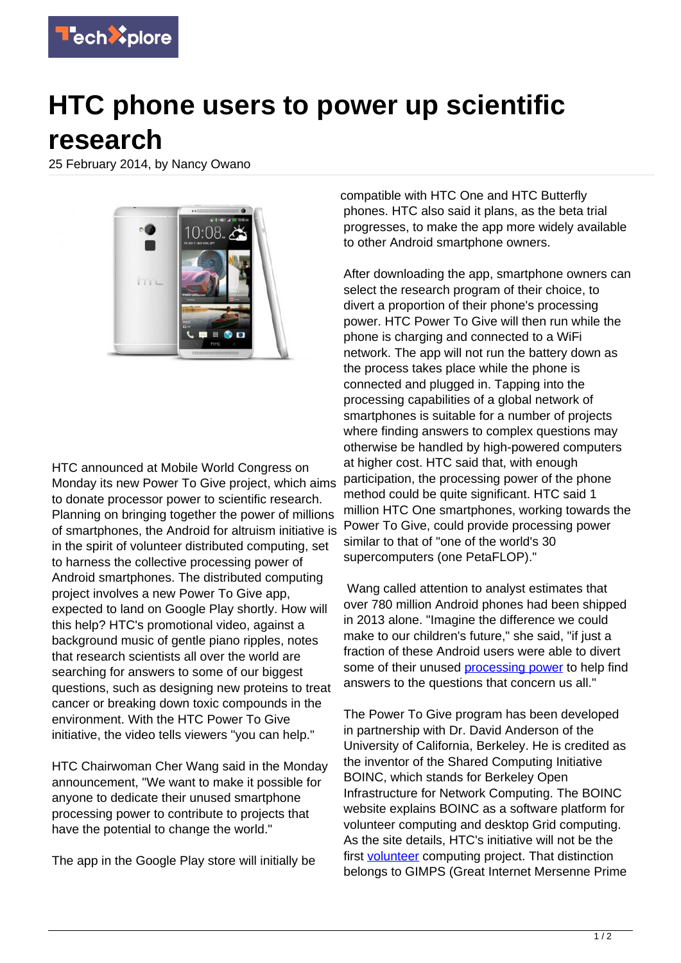

## **HTC phone users to power up scientific research**

25 February 2014, by Nancy Owano



HTC announced at Mobile World Congress on Monday its new Power To Give project, which aims to donate processor power to scientific research. Planning on bringing together the power of millions of smartphones, the Android for altruism initiative is in the spirit of volunteer distributed computing, set to harness the collective processing power of Android smartphones. The distributed computing project involves a new Power To Give app, expected to land on Google Play shortly. How will this help? HTC's promotional video, against a background music of gentle piano ripples, notes that research scientists all over the world are searching for answers to some of our biggest questions, such as designing new proteins to treat cancer or breaking down toxic compounds in the environment. With the HTC Power To Give initiative, the video tells viewers "you can help."

HTC Chairwoman Cher Wang said in the Monday announcement, "We want to make it possible for anyone to dedicate their unused smartphone processing power to contribute to projects that have the potential to change the world."

The app in the Google Play store will initially be

compatible with HTC One and HTC Butterfly phones. HTC also said it plans, as the beta trial progresses, to make the app more widely available to other Android smartphone owners.

After downloading the app, smartphone owners can select the research program of their choice, to divert a proportion of their phone's processing power. HTC Power To Give will then run while the phone is charging and connected to a WiFi network. The app will not run the battery down as the process takes place while the phone is connected and plugged in. Tapping into the processing capabilities of a global network of smartphones is suitable for a number of projects where finding answers to complex questions may otherwise be handled by high-powered computers at higher cost. HTC said that, with enough participation, the processing power of the phone method could be quite significant. HTC said 1 million HTC One smartphones, working towards the Power To Give, could provide processing power similar to that of "one of the world's 30 supercomputers (one PetaFLOP)."

 Wang called attention to analyst estimates that over 780 million Android phones had been shipped in 2013 alone. "Imagine the difference we could make to our children's future," she said, "if just a fraction of these Android users were able to divert some of their unused [processing power](https://techxplore.com/tags/processing+power/) to help find answers to the questions that concern us all."

The Power To Give program has been developed in partnership with Dr. David Anderson of the University of California, Berkeley. He is credited as the inventor of the Shared Computing Initiative BOINC, which stands for Berkeley Open Infrastructure for Network Computing. The BOINC website explains BOINC as a software platform for volunteer computing and desktop Grid computing. As the site details, HTC's initiative will not be the first volunteer computing project. That distinction belongs to GIMPS (Great Internet Mersenne Prime